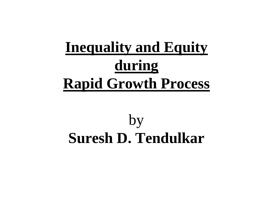# **Inequality and EquityduringRapid Growth Process**

## by**Suresh D. Tendulkar**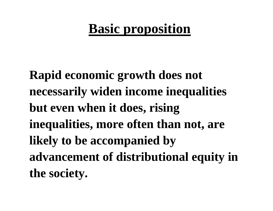## **Basic proposition**

**Rapid economic growth does not necessarily widen income inequalities but even when it does, rising inequalities, more often than not, are likely to be accompanied by advancement of distributional equity in the society.**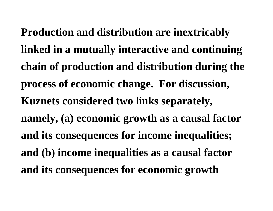**Production and distribution are inextricably linked in a mutually interactive and continuing chain of production and distribution during the process of economic change. For discussion, Kuznets considered two links separately, namely, (a) economic growth as a causal factor and its consequences for income inequalities; and (b) income inequalities as a causal factor and its consequences for economic growth**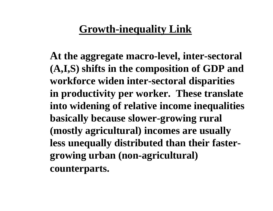### **Growth-inequality Link**

**At the aggregate macro-level, inter-sectoral (A,I,S) shifts in the composition of GDP and workforce widen inter-sectoral disparities in productivity per worker. These translate into widening of relative income inequalities basically because slower-growing rural (mostly agricultural) incomes are usually less unequally distributed than their fastergrowing urban (non-agricultural) counterparts.**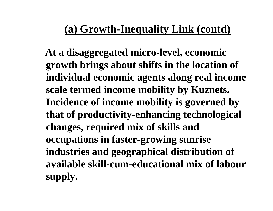### **(a) Growth-Inequality Link (contd)**

**At a disaggregated micro-level, economic growth brings about shifts in the location of individual economic agents along real income scale termed income mobility by Kuznets. Incidence of income mobility is governed by that of productivity-enhancing technological changes, required mix of skills and occupations in faster-growing sunrise industries and geographical distribution of available skill-cum-educational mix of labour supply.**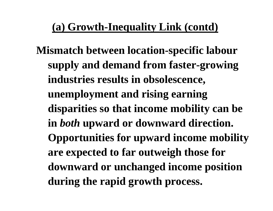### **(a) Growth-Inequality Link (contd)**

**Mismatch between location-specific labour supply and demand from faster-growing industries results in obsolescence, unemployment and rising earning disparities so that income mobility can be in** *both* **upward or downward direction. Opportunities for upward income mobility are expected to far outweigh those for downward or unchanged income position during the rapid growth process.**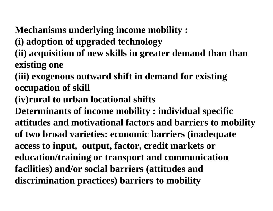### **Mechanisms underlying income mobility :**

- **(i) adoption of upgraded technology**
- **(ii) acquisition of new skills in greater demand than than existing one**
- **(iii) exogenous outward shift in demand for existing occupation of skill**
- **(iv)rural to urban locational shifts**
- **Determinants of income mobility : individual specific attitudes and motivational factors and barriers to mobility of two broad varieties: economic barriers (inadequate access to input, output, factor, credit markets oreducation/training or transport and communication facilities) and/or social barriers (attitudes and discrimination practices) barriers to mobility**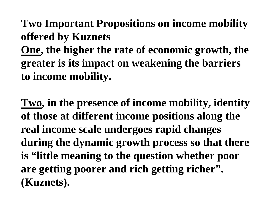### **Two Important Propositions on income mobility offered by Kuznets**

**One, the higher the rate of economic growth, the greater is its impact on weakening the barriers to income mobility.**

**Two, in the presence of income mobility, identity of those at different income positions along the real income scale undergoes rapid changes during the dynamic growth process so that there is "little meaning to the question whether poor are getting poorer and rich getting richer". (Kuznets).**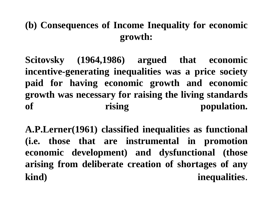#### **(b) Consequences of Income Inequality for economicgrowth:**

**Scitovsky (1964,1986) argued that economic incentive-generating inequalities was <sup>a</sup> price society paid for having economic growth and economic growth was necessary for raising the living standardsof rising population.**

**A.P.Lerner(1961) classified inequalities as functional(i.e. those that are instrumental in promotion economic development) and dysfunctional (those arising from deliberate creation of shortages of anykind) inequalities**.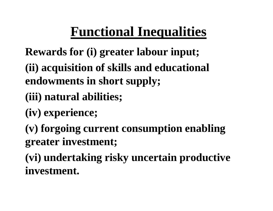## **Functional Inequalities**

**Rewards for (i) greater labour input;**

**(ii) acquisition of skills and educational endowments in short supply;**

- **(iii) natural abilities;**
- **(iv) experience;**

**(v) forgoing current consumption enabling greater investment;**

**(vi) undertaking risky uncertain productive investment.**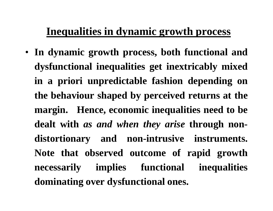#### **Inequalities in dynamic growth process**

• **In dynamic growth process, both functional anddysfunctional inequalities get inextricably mixedin <sup>a</sup> priori unpredictable fashion depending onthe behaviour shaped by perceived returns at themargin. Hence, economic inequalities need to be dealt with** *as and when they arise* **through nondistortionary and non-intrusive instruments. Note that observed outcome of rapid growthnecessarily implies functional inequalitiesdominating over dysfunctional ones.**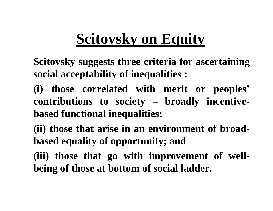## **Scitovsky on Equity**

**Scitovsky suggests three criteria for ascertainingsocial acceptability of inequalities :**

- **(i) those correlated with merit or peoples'contributions to society – broadly incentive based functional inequalities;**
- **(ii) those that arise in an environment of broadbased equality of opportunity; and**
- **(iii) those that go with improvement of wellbeing of those at bottom of social ladder.**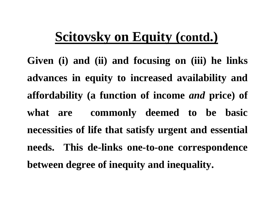## **Scitovsky on Equity (contd.)**

**Given (i) and (ii) and focusing on (iii) he linksadvances in equity to increased availability andaffordability (a function of income** *and* **price) of what are commonly deemed to be basicnecessities of life that satisfy urgent and essentialneeds. This de-links one-to-one correspondencebetween degree of inequity and inequality.**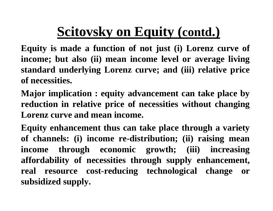## **Scitovsky on Equity (contd.)**

**Equity is made <sup>a</sup> function of not just (i) Lorenz curve ofincome; but also (ii) mean income level or average living standard underlying Lorenz curve; and (iii) relative priceof necessities.**

**Major implication : equity advancement can take place by reduction in relative price of necessities without changing Lorenz curve and mean income.**

**Equity enhancement thus can take place through <sup>a</sup> variety of channels: (i) income re-distribution; (ii) raising mean income through economic growth; (iii) increasing affordability of necessities through supply enhancement, real resource cost-reducing technological change orsubsidized supply.**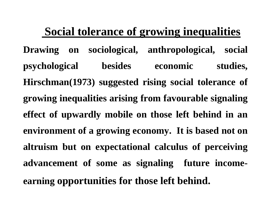### **Social tolerance of growing inequalities**

**Drawing on sociological, anthropological, socialpsychological besides economic studies, Hirschman(1973) suggested rising social tolerance ofgrowing inequalities arising from favourable signalingeffect of upwardly mobile on those left behind in anenvironment of <sup>a</sup> growing economy. It is based not onaltruism but on expectational calculus of perceivingadvancement of some as signaling future incomeearning opportunities for those left behind.**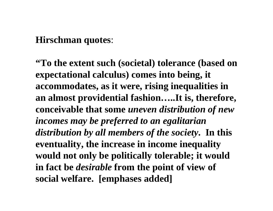#### **Hirschman quotes**:

**"To the extent such (societal) tolerance (based on expectational calculus) comes into being, it accommodates, as it were, rising inequalities in an almost providential fashion…..It is, therefore, conceivable that some** *uneven distribution of new incomes may be preferred to an egalitarian distribution by all members of the society***. In this eventuality, the increase in income inequality would not only be politically tolerable; it would in fact be** *desirable* **from the point of view of social welfare. [emphases added]**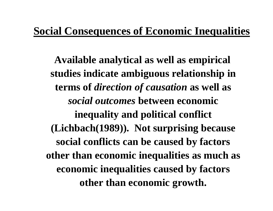#### **Social Consequences of Economic Inequalities**

**Available analytical as well as empirical studies indicate ambiguous relationship in terms of** *direction of causation* **as well as**  *social outcomes* **between economic inequality and political conflict (Lichbach(1989)). Not surprising because social conflicts can be caused by factors other than economic inequalities as much as economic inequalities caused by factors other than economic growth.**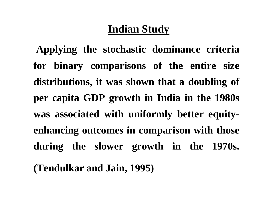### **Indian Study**

**Applying the stochastic dominance criteriafor binary comparisons of the entire sizedistributions, it was shown that <sup>a</sup> doubling ofper capita GDP growth in India in the 1980swas associated with uniformly better equityenhancing outcomes in comparison with thoseduring the slower growth in the 1970s. (Tendulkar and Jain, 1995)**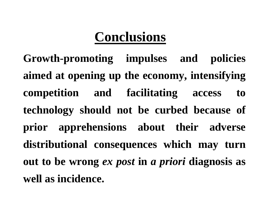## **Conclusions**

**Growth-promoting impulses and policiesaimed at opening up the economy, intensifyingcompetition and facilitating access totechnology should not be curbed because of prior apprehensions about their adversedistributional consequences which may turnout to be wrong** *ex post* **in** *<sup>a</sup> priori* **diagnosis as well as incidence.**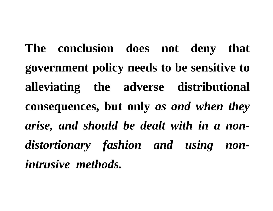**The conclusion does not deny thatgovernment policy needs to be sensitive toalleviating the adverse distributionalconsequences, but only** *as and when they arise, and should be dealt with in <sup>a</sup> nondistortionary fashion and using nonintrusive methods.*